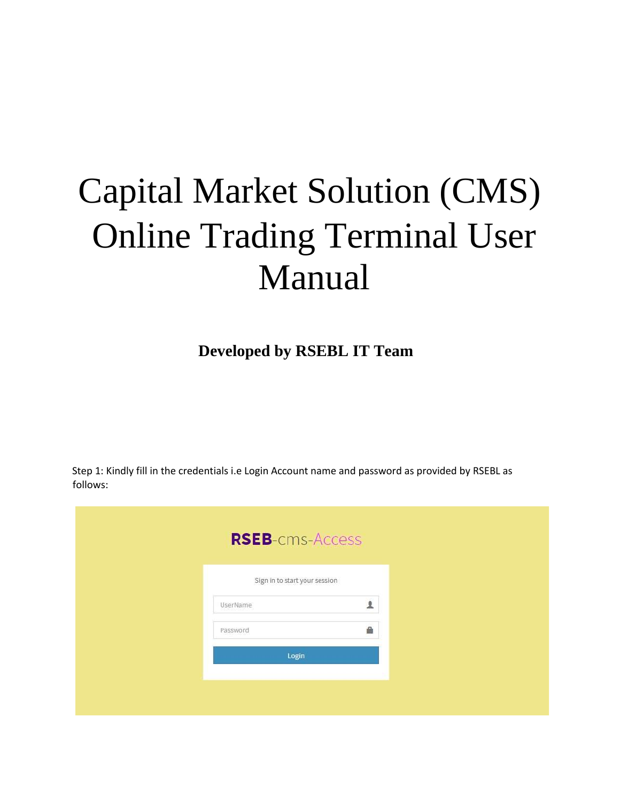## Capital Market Solution (CMS) Online Trading Terminal User Manual

 **Developed by RSEBL IT Team** 

Step 1: Kindly fill in the credentials i.e Login Account name and password as provided by RSEBL as follows:

| <b>RSEB-cms-Access</b><br>Sign in to start your session<br>主<br>UserName<br>욟<br>Password<br>Login |
|----------------------------------------------------------------------------------------------------|
|                                                                                                    |
|                                                                                                    |
|                                                                                                    |
|                                                                                                    |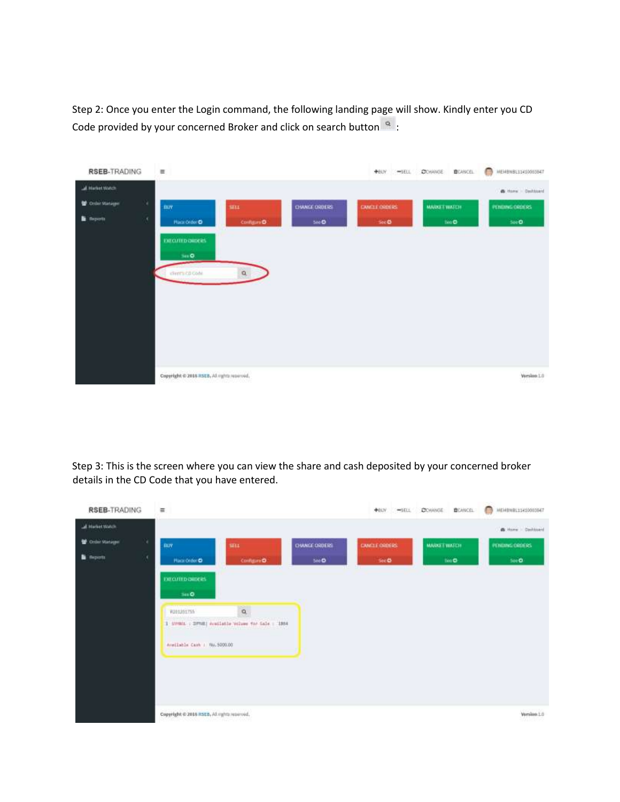Step 2: Once you enter the Login command, the following landing page will show. Kindly enter you CD Code provided by your concerned Broker and click on search button  $\frac{1}{2}$ :



Step 3: This is the screen where you can view the share and cash deposited by your concerned broker details in the CD Code that you have entered.

| <b>RSEB-TRADING</b> |   | $\equiv$                                    |                                                             |                  | <b>NEW WIELL CONANCE</b> | <b>B</b> CANCEL     | WENBNBE11410083847    |
|---------------------|---|---------------------------------------------|-------------------------------------------------------------|------------------|--------------------------|---------------------|-----------------------|
| al Hariet Watch     |   |                                             |                                                             |                  |                          |                     | <b>B</b> How Cashbard |
| Criter Manager      | k | BUY                                         | SELL.                                                       | CHANGE ORDERS    | CANCLE ORDERS            | <b>MARKET WATCH</b> | PENDING ORDERS        |
| <b>B</b> Reports    | × | <b>Han Order</b>                            | Configuro O                                                 | Ske <sup>D</sup> | Sec.                     | tion <sup>2</sup>   | 500 <sup>o</sup>      |
|                     |   | <b>DITCUTED QUIDERS</b>                     |                                                             |                  |                          |                     |                       |
|                     |   | Sec D.                                      |                                                             |                  |                          |                     |                       |
|                     |   | R201201755                                  | $\alpha$                                                    |                  |                          |                     |                       |
|                     |   |                                             | $1\,$ SWMM $\,$ ; BPMS) evaluate values for Sale $\,$ (1884 |                  |                          |                     |                       |
|                     |   | Available Cash / Nu. 5000.00                |                                                             |                  |                          |                     |                       |
|                     |   |                                             |                                                             |                  |                          |                     |                       |
|                     |   |                                             |                                                             |                  |                          |                     |                       |
|                     |   |                                             |                                                             |                  |                          |                     |                       |
|                     |   |                                             |                                                             |                  |                          |                     |                       |
|                     |   | Copyright @ 2016 RSEB, All rights reserved. |                                                             |                  |                          |                     | Versloo 1.0           |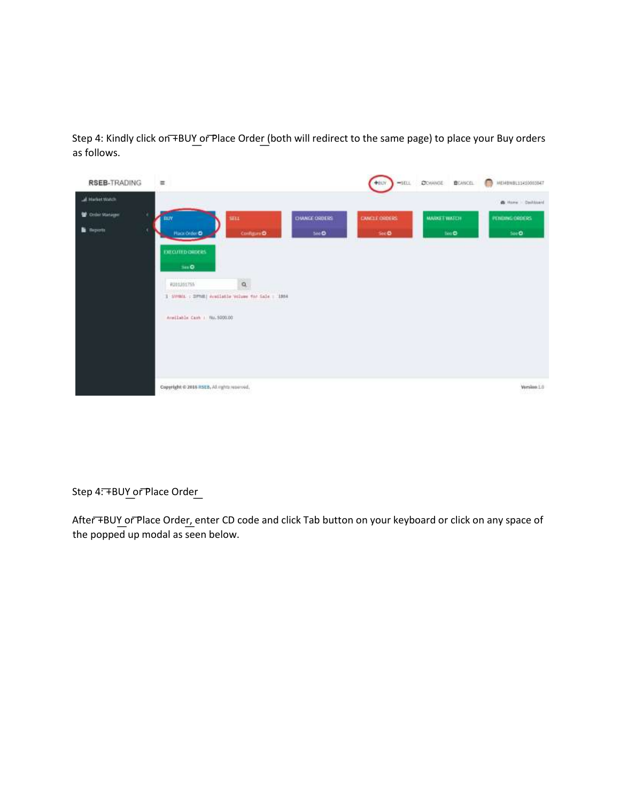Step 4: Kindly click on +BUY or Place Order (both will redirect to the same page) to place your Buy orders as follows.



Step 4: FBUY or Place Order

After +BUY or Place Order, enter CD code and click Tab button on your keyboard or click on any space of the popped up modal as seen below.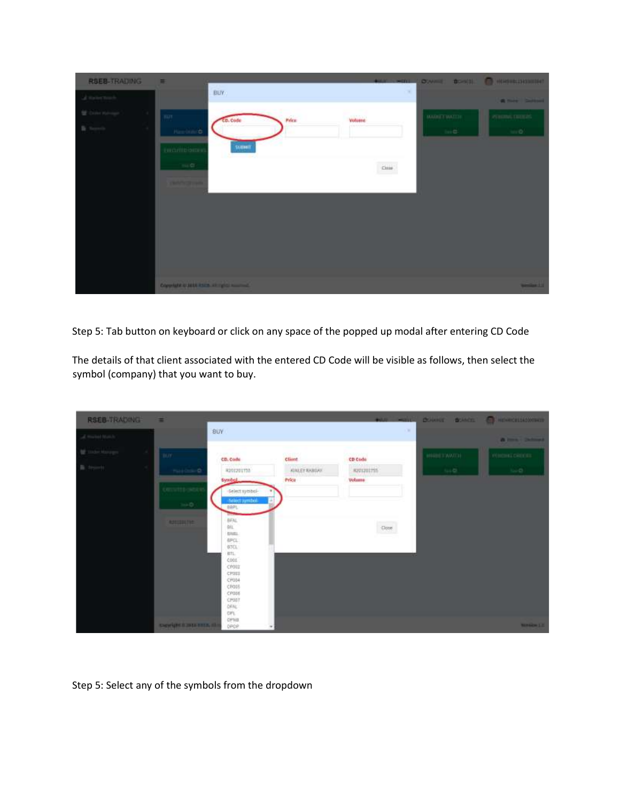| <b>RSEB-TRADING</b>     | $\equiv$                                      |               |              | <b>CHARLES AND CONSULTANT OF A SECOND CONSULTANT OF A REPORT OF A SECOND CONSULTANT OF A REPORT OF A SECOND CONSULTANT OF A REPORT OF A REPORT OF A REPORT OF A REPORT OF A REPORT OF A REPORT OF A REPORT OF A REPORT OF A REPO</b> |
|-------------------------|-----------------------------------------------|---------------|--------------|--------------------------------------------------------------------------------------------------------------------------------------------------------------------------------------------------------------------------------------|
| of their truck.         | BUY.                                          | ×             |              | A meet School                                                                                                                                                                                                                        |
| <b>W. Daler Halvage</b> | <b>Tur</b><br>Price<br>$c$ code               | <b>Volume</b> | MADNET WATER | PERSONAL DRUGS                                                                                                                                                                                                                       |
|                         | <b>Harrison &amp;</b>                         |               | $100-12$     | $\sin 60$                                                                                                                                                                                                                            |
|                         | <b>SUBMIT</b><br><b>ENCUTED SHOPS</b>         |               |              |                                                                                                                                                                                                                                      |
|                         | $m \in$                                       | $\cos\theta$  |              |                                                                                                                                                                                                                                      |
|                         | <b>Charles Corporation</b>                    |               |              |                                                                                                                                                                                                                                      |
|                         |                                               |               |              |                                                                                                                                                                                                                                      |
|                         |                                               |               |              |                                                                                                                                                                                                                                      |
|                         |                                               |               |              |                                                                                                                                                                                                                                      |
|                         |                                               |               |              |                                                                                                                                                                                                                                      |
|                         |                                               |               |              |                                                                                                                                                                                                                                      |
|                         | Copyright at July 2329, all rights household. |               |              | <b>Service 11</b>                                                                                                                                                                                                                    |

Step 5: Tab button on keyboard or click on any space of the popped up modal after entering CD Code

The details of that client associated with the entered CD Code will be visible as follows, then select the symbol (company) that you want to buy.

| RSEB-TRADING       | ਵ                         |                                         |                      | $400 - 400$      |              |        | <b>COMME BOACE COMPRESSIONER</b> |
|--------------------|---------------------------|-----------------------------------------|----------------------|------------------|--------------|--------|----------------------------------|
| of major transfer. |                           | BUY                                     |                      |                  | $\sim$       |        | <b>A long-Salessi</b>            |
| <b>W</b> makkeeps  | <b>Taux</b>               | <b>POUL VOID</b><br>CD, Code            | client               | CD Code          | MARKET MATCH |        | FUILDING DRUGS                   |
| B. trunt           | THE COLOR                 | R201201733                              | <b>KINLEY KABINE</b> | <b>REVISIONS</b> |              | $4+22$ | 1400                             |
|                    | <b>COUNTER</b> SERVE      | <b>Symbol</b>                           | Price                | <b>Volume</b>    |              |        |                                  |
|                    | $\lim \mathsf{D}(\cdot)$  | -Select symbol-<br><b>Beled synthal</b> |                      |                  |              |        |                                  |
|                    |                           | BBFL<br>BFAL.                           |                      |                  |              |        |                                  |
|                    | <b>ASSISTED FOR</b>       | eu.<br><b>GREL</b>                      |                      | $-2000$          |              |        |                                  |
|                    |                           | <b>BPCL</b><br>B3CL                     |                      |                  |              |        |                                  |
|                    |                           | BTL<br>COOL<br>CPOUL                    |                      |                  |              |        |                                  |
|                    |                           | CRUIS<br>CF004                          |                      |                  |              |        |                                  |
|                    |                           | CFOSS<br>CPODE                          |                      |                  |              |        |                                  |
|                    |                           | CPOST<br>OFAC                           |                      |                  |              |        |                                  |
|                    | <b>SHIWARD STREETS ST</b> | Ch/F.<br>OPHIL<br>OPDP                  |                      |                  |              |        | <b>NATIONAL LIE</b>              |

Step 5: Select any of the symbols from the dropdown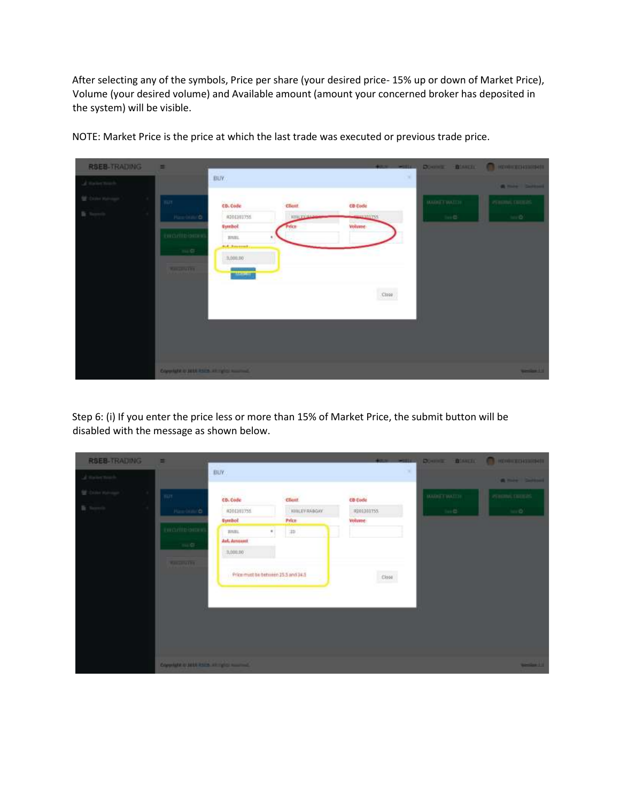After selecting any of the symbols, Price per share (your desired price- 15% up or down of Market Price), Volume (your desired volume) and Available amount (amount your concerned broker has deposited in the system) will be visible.



NOTE: Market Price is the price at which the last trade was executed or previous trade price.

Step 6: (i) If you enter the price less or more than 15% of Market Price, the submit button will be disabled with the message as shown below.

| <b>RSEB-TRADING</b>        | $\equiv$                                         |                                     |                      | age with a   |                     | <b>DOWNER TEAMERS OF HEMICIELERIES</b> |
|----------------------------|--------------------------------------------------|-------------------------------------|----------------------|--------------|---------------------|----------------------------------------|
| of their track.            |                                                  | BLIV.                               |                      |              | ×                   | <b>A MAN DANIEL</b>                    |
| <b>Mr. Daller Hallmage</b> | $\blacksquare$                                   | and colores and<br>cb. Code         | ÷<br>client          | w<br>co code | <b>MARKET WATCH</b> | PERSONAL DRUGS                         |
| m                          | Newton/O                                         | #201101755                          | <b>KIBLEY RABOAY</b> | R201201T55   | the Co.             | $-0$                                   |
|                            |                                                  | <b>Symbol</b>                       | Price                | volume:      |                     |                                        |
|                            | <b>EN CUTTO SHOPS</b>                            | BBIL.<br>#T                         | w                    |              |                     |                                        |
|                            | 10.07                                            | Art. Amount                         |                      |              |                     |                                        |
|                            |                                                  | 3,000.00                            |                      |              |                     |                                        |
|                            | <b>Manufacture</b>                               |                                     |                      |              |                     |                                        |
|                            |                                                  | Price must be between 35.5 and 34.5 |                      | ciose        |                     |                                        |
|                            |                                                  |                                     |                      |              |                     |                                        |
|                            |                                                  |                                     |                      |              |                     |                                        |
|                            |                                                  |                                     |                      |              |                     |                                        |
|                            |                                                  |                                     |                      |              |                     |                                        |
|                            |                                                  |                                     |                      |              |                     |                                        |
|                            |                                                  |                                     |                      |              |                     |                                        |
|                            |                                                  |                                     |                      |              |                     |                                        |
|                            | <b>Consider a setti assistanti consideration</b> |                                     |                      |              |                     | <b>Service 1 to</b>                    |
|                            |                                                  |                                     |                      |              |                     |                                        |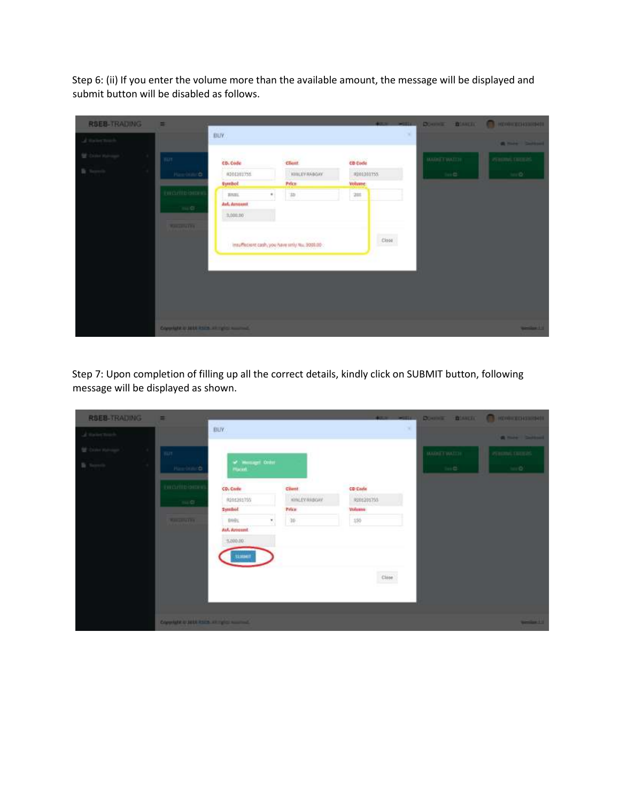Step 6: (ii) If you enter the volume more than the available amount, the message will be displayed and submit button will be disabled as follows.

| <b>RSEB-TRADING</b>      | 画                                        |                   |                                                |               | Altre with a |                     | <b>DOWNER BOARDED CONTROLLERING</b> |
|--------------------------|------------------------------------------|-------------------|------------------------------------------------|---------------|--------------|---------------------|-------------------------------------|
| al Halley Touch          |                                          | BUY.              |                                                |               | ×            |                     | <b>A mix Sellow</b>                 |
| <b>M. Castro Hydroge</b> | <b>Ture</b>                              | cb. Code          | client                                         | co code       |              | <b>MARKET WATCH</b> | PERSONAL DRUGS                      |
| <b>The Company</b>       | Hardton/O                                | #201101755        | <b>WILLEV RABOAY</b>                           | REGISTERS     |              | $\ln \mathbf{G}$    | $\sin \Phi$                         |
|                          |                                          | Symbol            | Price                                          | <b>Volume</b> |              |                     |                                     |
|                          | <b>EN CUTTO SHOP</b>                     | ٠<br><b>BRILL</b> | 3b                                             | 285           |              |                     |                                     |
|                          | 11.6                                     | Art. Amount       |                                                |               |              |                     |                                     |
|                          |                                          | 3,000.00          |                                                |               |              |                     |                                     |
|                          | <b>MARGARET</b>                          |                   | insuffection cash, you have selly the 9000.00- |               | Close        |                     |                                     |
|                          | Copyright is suit asset at right number. |                   |                                                |               |              |                     | <b>Seminar Ett</b>                  |

Step 7: Upon completion of filling up all the correct details, kindly click on SUBMIT button, following message will be displayed as shown.

| <b>RSEB-TRADING</b> | $\equiv$                                       |                           |                      | Altre witten              |   |                     | <b>DOWNER BOARDED CONTROLLERING</b> |
|---------------------|------------------------------------------------|---------------------------|----------------------|---------------------------|---|---------------------|-------------------------------------|
| of the locations    |                                                | <b>BLIV</b>               |                      |                           | × |                     | <b>A MAN DANIEL</b>                 |
| <b>B</b> Service    | <b>ILL HART</b>                                | $\omega$ -mange $0$ (m    |                      |                           |   | <b>BAGILT WATCH</b> | PERSONAL DRUGS                      |
|                     | Hardton/O                                      | Placed.                   |                      |                           |   | $100-12$            | 1410                                |
|                     | <b>EXCLUSIONS</b>                              | CD, Critic                | Client!              | CD Code                   |   |                     |                                     |
|                     | $m, \alpha$                                    | R201201755                | <b>IONLEY RABGAY</b> | 8201201755                |   |                     |                                     |
|                     |                                                | <b>Symbol</b>             | Prize                | Williams:                 |   |                     |                                     |
|                     | <b>NAMES OF BRIDE</b>                          | 0991<br>N<br>Avi. Amount. | $30\,$               | 150                       |   |                     |                                     |
|                     |                                                | 1,000.00                  |                      |                           |   |                     |                                     |
|                     |                                                | <b>TIMERIA</b>            |                      |                           |   |                     |                                     |
|                     |                                                |                           |                      | $\overline{\text{Ciste}}$ |   |                     |                                     |
|                     |                                                |                           |                      |                           |   |                     |                                     |
|                     |                                                |                           |                      |                           |   |                     |                                     |
|                     | Copyright of both lines, all rights household. |                           |                      |                           |   |                     | فاستعد                              |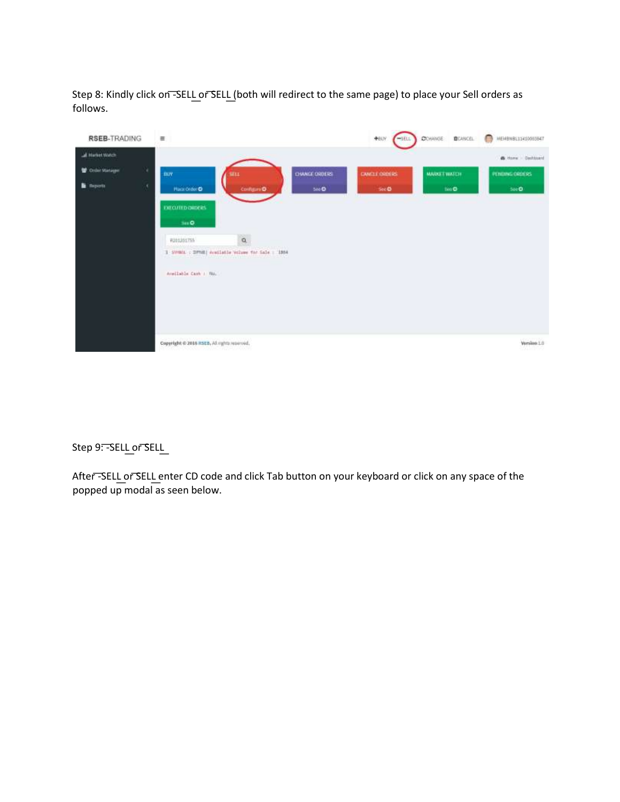Step 8: Kindly click on -SELL or SELL (both will redirect to the same page) to place your Sell orders as follows.

| <b>RSEB-TRADING</b>   | $\equiv$                                                                     | +eav                           | <b>CONANGE</b><br><b>B</b> CANCEL<br>$-$ SELL | $\Box$<br>MEMBMBE11410083847 |
|-----------------------|------------------------------------------------------------------------------|--------------------------------|-----------------------------------------------|------------------------------|
| al Harket Watch       |                                                                              |                                |                                               | & How Dallased               |
| n<br>Critic Manager   | BUY<br>SELL.                                                                 | CHANGE ORDERS<br>CANCLE ORDERS | <b>MARKET WATCH</b>                           | PENDING ORDERS               |
| ×<br><b>B</b> Reports | <b>Hack Order O</b><br><b>Configure O</b><br><b>DITCUTED ORDERS</b><br>Sec D | 500<br>Sec.                    | tio O                                         | 500 <sup>o</sup>             |
|                       | $\alpha$<br>R201201755                                                       |                                |                                               |                              |
|                       | $1\,$ SW001 $\pm$ 20903) evailable values for $545\pm$ 1384                  |                                |                                               |                              |
|                       | Available Cash   NAL                                                         |                                |                                               |                              |
|                       | Copyright @ 2016 RSEB, All rights reserved.                                  |                                |                                               | Version 1.0                  |

## Step 9: - SELL or SELL

After-SELL or SELL enter CD code and click Tab button on your keyboard or click on any space of the popped up modal as seen below.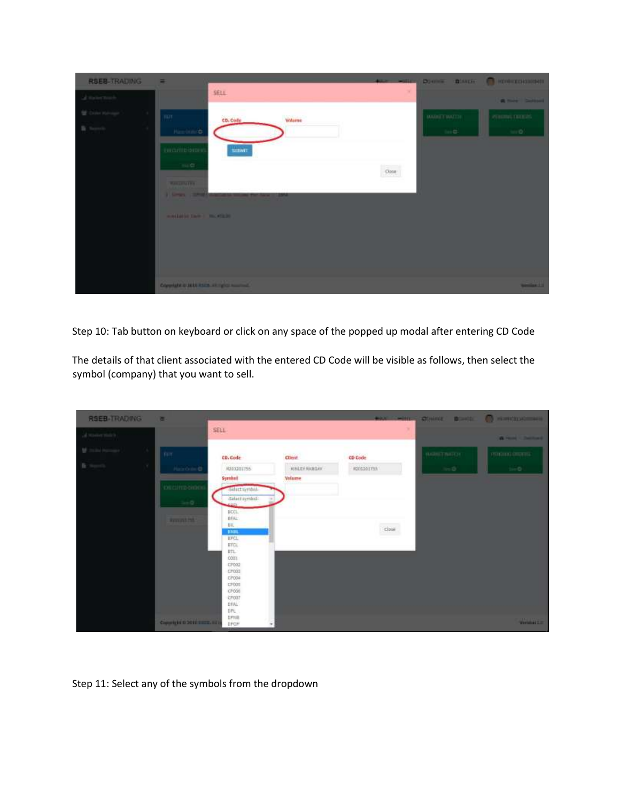| <b>RSEB-TRADING</b>     | $\equiv$                            |                                                      |        |              |                     | <b>PARTICULAR DIVINE DIAMON CONTINUES.</b> |
|-------------------------|-------------------------------------|------------------------------------------------------|--------|--------------|---------------------|--------------------------------------------|
| of their truck.         |                                     | SELL                                                 |        |              |                     | <b>Control Service</b>                     |
| <b>W. Daler Halvage</b> | <b>THEFT</b>                        | cb. Code                                             | Wilsme |              | <b>BAGILT WATCH</b> | PERSONAL DRUGS                             |
| $\frac{m}{2}$ . Seconds | <b>Hardton &amp;</b>                |                                                      |        |              | $100-12$            | $\approx 0$                                |
|                         | <b>EN CUTTO ORDER</b>               | SIDNE                                                |        |              |                     |                                            |
|                         | $-34.47$                            |                                                      |        | $_{\rm ODE}$ |                     |                                            |
|                         | <b>MALLERSTEIN</b>                  |                                                      |        |              |                     |                                            |
|                         |                                     | I haven't come that the second in the same that have | -      |              |                     |                                            |
|                         | waitered two in the stand           |                                                      |        |              |                     |                                            |
|                         |                                     |                                                      |        |              |                     |                                            |
|                         |                                     |                                                      |        |              |                     |                                            |
|                         |                                     |                                                      |        |              |                     |                                            |
|                         | Consider a subtleme or spin summer. |                                                      |        |              |                     | <b>Manufacture 11 Id.</b>                  |

Step 10: Tab button on keyboard or click on any space of the popped up modal after entering CD Code

The details of that client associated with the entered CD Code will be visible as follows, then select the symbol (company) that you want to sell.

| <b>RSEB-TRADING</b>           | WE.                           |                              |                      |                   | <b>BOX WITH CONTROL BOND CONTROLLERING</b> |                           |
|-------------------------------|-------------------------------|------------------------------|----------------------|-------------------|--------------------------------------------|---------------------------|
| $\delta$ states that $\delta$ |                               | SELL                         |                      |                   |                                            | A received a construction |
| Italia Harrison (1977)        | (BIT)                         | CD, Code                     | Client               | CD Code           | <b>BARRET BALLY</b>                        | minimizing concerning     |
| 取り<br>V.                      | <b>Plaza Order Of</b>         | <b>Ranzzourss</b>            | <b>KINLEY WABLES</b> | <b>KONSOLITAN</b> | $N=0$                                      | tie D                     |
|                               | <b>DECISION</b>               | Symbol<br>-sidect symbols    | Volume               |                   |                                            |                           |
|                               | $\ln\theta$ .                 | Galactionship<br><b>ARCH</b> |                      |                   |                                            |                           |
|                               | <b>RESERVES</b>               | BCCL.<br>BfAL:               |                      |                   |                                            |                           |
|                               |                               | 肤.<br>HHM.<br><b>BFGL</b>    |                      | Close             |                                            |                           |
|                               |                               | <b>BICK</b><br>RTL           |                      |                   |                                            |                           |
|                               |                               | com<br>07002<br>CP003        |                      |                   |                                            |                           |
|                               |                               | EP004<br>CFD01               |                      |                   |                                            |                           |
|                               |                               | CF096<br>CP007<br>DNAL.      |                      |                   |                                            |                           |
|                               |                               | DR.<br>DFISH                 |                      |                   |                                            |                           |
|                               | Committee to SOFE BREEL Rd to | DROM                         |                      |                   |                                            | WHEN THE                  |

Step 11: Select any of the symbols from the dropdown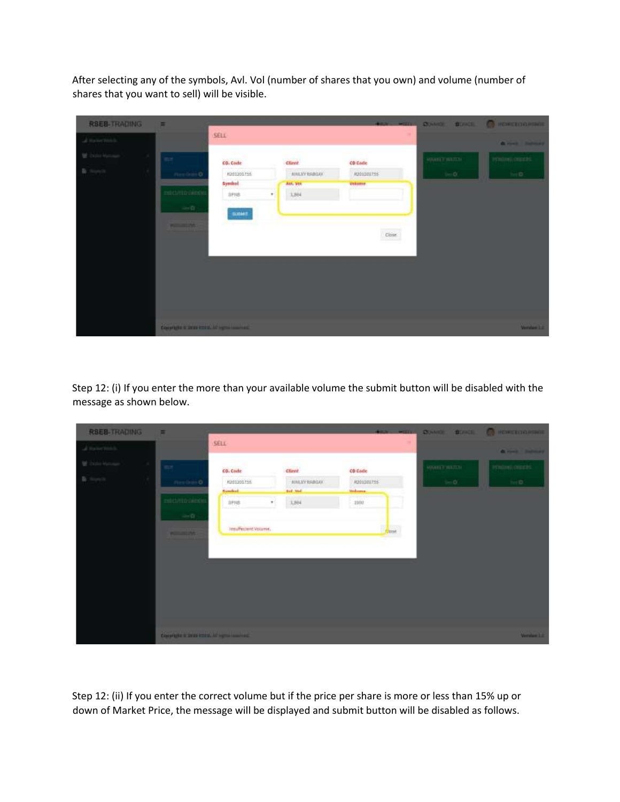After selecting any of the symbols, Avl. Vol (number of shares that you own) and volume (number of shares that you want to sell) will be visible.

| <b>RSEB-TRADING</b>                                | E                                              |            |                       | <b>WENT WITCH</b> |                     | <b>QUINE BOND CONDITIONS</b> |
|----------------------------------------------------|------------------------------------------------|------------|-----------------------|-------------------|---------------------|------------------------------|
| of measurable.                                     |                                                | SELL       |                       |                   |                     | <b>A men Industrial</b>      |
| <b>M. Dalla Malcage</b><br><b>Contract Advised</b> | $\mathbb{R}$ and                               | CD. Cade   | <b>Client</b>         | CD Cade           | <b>MARKET WATCH</b> | POstumi contrato             |
| n.                                                 | Pineline O                                     | R201201755 | <b>JUNEAU BABILIO</b> | R201201755        | $1 - 0$             | heim.                        |
|                                                    | edict/Hilp climb                               | Symbol     | Avt, VIII             | Volume            |                     |                              |
|                                                    |                                                | 11118      | 3,884<br>$\bullet$    |                   |                     |                              |
|                                                    | $-2$                                           | тальнт     |                       |                   |                     |                              |
|                                                    | <b>PERSONAL PART</b>                           |            |                       |                   |                     |                              |
|                                                    |                                                |            |                       | $\rm{Cois}$       |                     |                              |
|                                                    |                                                |            |                       |                   |                     |                              |
|                                                    |                                                |            |                       |                   |                     |                              |
|                                                    |                                                |            |                       |                   |                     |                              |
|                                                    |                                                |            |                       |                   |                     |                              |
|                                                    |                                                |            |                       |                   |                     |                              |
|                                                    |                                                |            |                       |                   |                     |                              |
|                                                    | Copyright is permitted and registration in the |            |                       |                   |                     | WesterLink                   |

Step 12: (i) If you enter the more than your available volume the submit button will be disabled with the message as shown below.

| <b>RSEB-TRADING</b> | E                                              |                                             |                          |                         | dear with a          | COMMON: COMON: 100 HEMICELLOPEDIDE |
|---------------------|------------------------------------------------|---------------------------------------------|--------------------------|-------------------------|----------------------|------------------------------------|
| of manerman.        |                                                | SELL                                        |                          |                         |                      | <b>A men Indicate</b>              |
|                     | н<br>WOT.                                      | CD. Cade                                    | client                   | CD Cade                 | <b>MARITED WATER</b> | POSSONG OBJECTS                    |
| n.<br><b>POST</b>   | Pitts (No. 0)                                  | R201201755                                  | <b><i>RINAWEABOX</i></b> | R201201755              | $1 - 0$              | tei D.                             |
|                     | edict/mo oimex                                 | <b>Dymbod</b><br>$\boldsymbol{\pi}$<br>3Hv8 | <b>Ball</b> 30d<br>3,864 | <b>Billions</b><br>1900 |                      |                                    |
|                     | <b>Aug</b>                                     |                                             |                          |                         |                      |                                    |
|                     | <b>PERSONAL PRO</b>                            | Tesuffectent Volume.                        |                          | <b>Close</b>            |                      |                                    |
|                     |                                                |                                             |                          |                         |                      |                                    |
|                     |                                                |                                             |                          |                         |                      |                                    |
|                     |                                                |                                             |                          |                         |                      |                                    |
|                     |                                                |                                             |                          |                         |                      |                                    |
|                     |                                                |                                             |                          |                         |                      |                                    |
|                     | County of the total control of region company. |                                             |                          |                         |                      | <b>Western Lit</b>                 |

Step 12: (ii) If you enter the correct volume but if the price per share is more or less than 15% up or down of Market Price, the message will be displayed and submit button will be disabled as follows.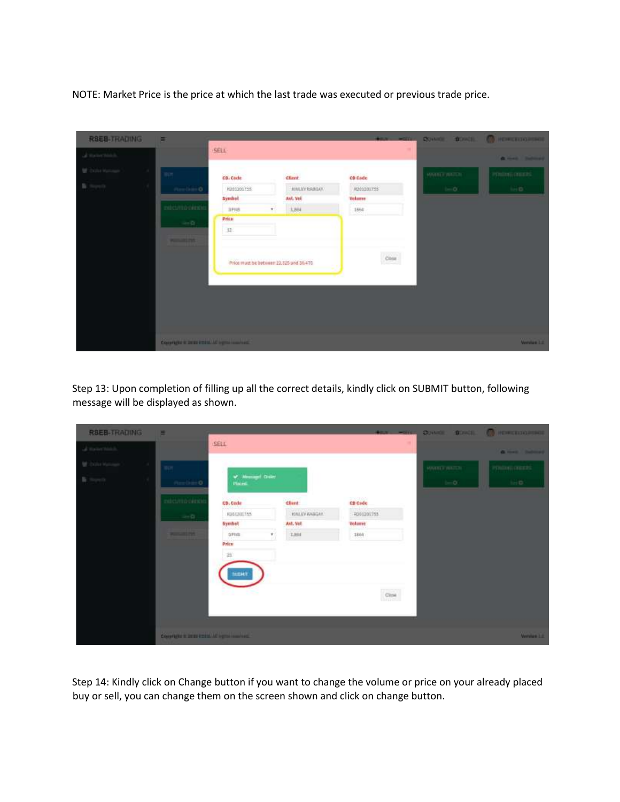NOTE: Market Price is the price at which the last trade was executed or previous trade price.

| <b>RSEB-TRADING</b>          | $\equiv$                                      |                                         |                       | <b>ABOVE MOTORS</b> |                     | QUARTER BOWER COMPRESSIONS |
|------------------------------|-----------------------------------------------|-----------------------------------------|-----------------------|---------------------|---------------------|----------------------------|
| $\mathcal{L}$ its terms in . |                                               | SELL                                    |                       |                     |                     | <b>G. HART BARBAR</b>      |
| Distances                    | <b>IT AND IN</b>                              | CD. Code                                | <b>Client</b>         | <b>CD</b> Code      | <b>MARKET WATCH</b> | POstoni muchi              |
| n.<br><b>TA</b>              | Pinchin D                                     | R201201755                              | <b>JUNEAU BABILIO</b> | R201201755          | $1 - 0$             | hei D.                     |
|                              | edict/mo oimex                                | Symbol<br><b>Jirrus</b>                 | Avi, Vel.<br>3,864    | Volume<br>1864      |                     |                            |
|                              | $\rightarrow 0$ .                             | Price:<br>$32 -$                        |                       |                     |                     |                            |
|                              | <b>PERSONAL PART</b>                          |                                         |                       |                     |                     |                            |
|                              |                                               | Price must be between 22,525 and 30.475 |                       | $_{\rm CMSR}$       |                     |                            |
|                              |                                               |                                         |                       |                     |                     |                            |
|                              |                                               |                                         |                       |                     |                     |                            |
|                              |                                               |                                         |                       |                     |                     |                            |
|                              |                                               |                                         |                       |                     |                     |                            |
|                              | County of the Hotel Hotel, All rights how had |                                         |                       |                     |                     | WesterLink                 |

Step 13: Upon completion of filling up all the correct details, kindly click on SUBMIT button, following message will be displayed as shown.

| <b>RSEB-TRADING</b> | $\equiv$                                           |                             |                                |                             | <b>TAX: MILL COME: BOND, C HORDINGER</b> |                     |
|---------------------|----------------------------------------------------|-----------------------------|--------------------------------|-----------------------------|------------------------------------------|---------------------|
| a measurants.       |                                                    | SELL                        |                                |                             |                                          | <b>A HAS Balmed</b> |
|                     | Wer.                                               | of Measured Gister          |                                |                             | <b>MARITA WATCH</b>                      | POSSIBLE GREEK      |
| <b>B</b> Service    | Pineline O                                         | <b>Placed</b>               |                                |                             | $1 - 0$                                  | heim.               |
|                     | edicumo oimo                                       | CD, Cade                    | <b>Client</b>                  | CD Code                     |                                          |                     |
|                     | $-1$                                               | <b>KIGERILTSS</b><br>Symbol | <b>KILLYANGAY</b><br>Avt. Vol. | R001201753<br><b>Volume</b> |                                          |                     |
|                     | <b>PERSONAL PRO</b>                                | <b>DF103</b><br>τ.          | 1.884                          | 1884                        |                                          |                     |
|                     |                                                    | Price                       |                                |                             |                                          |                     |
|                     |                                                    | $26$                        |                                |                             |                                          |                     |
|                     |                                                    | <b>BUENOT</b>               |                                |                             |                                          |                     |
|                     |                                                    |                             |                                | $_{\rm CBS}$                |                                          |                     |
|                     |                                                    |                             |                                |                             |                                          |                     |
|                     |                                                    |                             |                                |                             |                                          |                     |
|                     | Constitute in Delle (1988). All registe conclusion |                             |                                |                             |                                          | Weiserland          |

Step 14: Kindly click on Change button if you want to change the volume or price on your already placed buy or sell, you can change them on the screen shown and click on change button.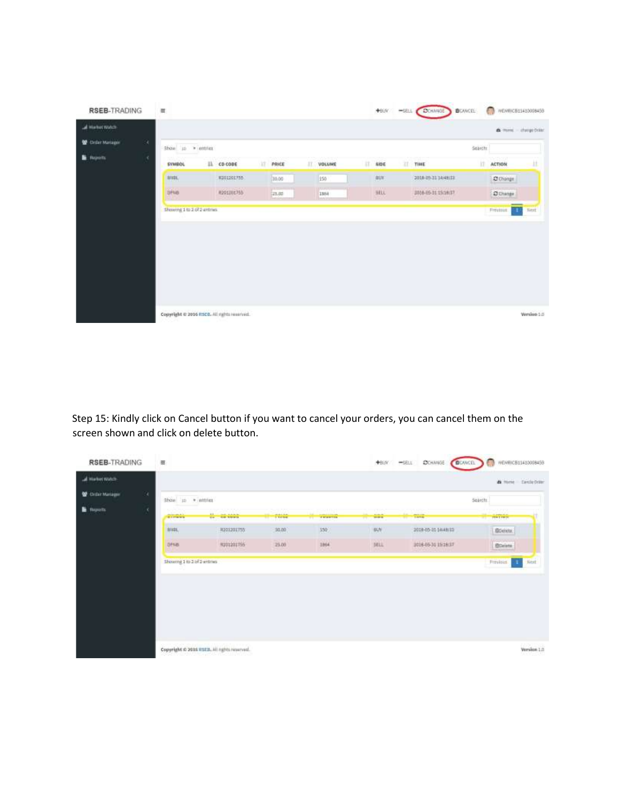| <b>RSEB-TRADING</b> |    | $\equiv$                                    |                    |   |                  |      |                     |    | +93Y |   | -SELL COCHANGE      | <b>B</b> OWCEL: | o<br>MENRICB11410008459 |             |
|---------------------|----|---------------------------------------------|--------------------|---|------------------|------|---------------------|----|------|---|---------------------|-----------------|-------------------------|-------------|
| al Harbot Watch     |    |                                             |                    |   |                  |      |                     |    |      |   |                     |                 | a mm dargebrist         |             |
| Criter Mariagne     | O. | Show in a cotties                           |                    |   |                  |      |                     |    |      |   |                     | Search:         |                         |             |
| <b>B</b> Reports    | ×  | <b>SYMBOL</b>                               | $  \cdot  $ cocone | Ħ | PRICE            | 11.7 | VOLUME              | 33 | AIDE | n | TINE                | it.             | <b>ACTION</b>           | п           |
|                     |    | anac.                                       | W301301755         |   | 35.00            |      | 150                 |    | auv. |   | 2018-10-31 14:48:33 |                 | <b>O</b> Change         |             |
|                     |    | <b>SPNB</b>                                 | 0201001755         |   | port of<br>23,00 |      | <b>NAME</b><br>1884 |    | mu   |   | 2014-05-31 15:14:17 |                 | <b>O</b> Diange         |             |
|                     |    | Showing 1 to 2 of 2 entrais                 |                    |   |                  |      |                     |    |      |   |                     |                 | T<br>Firestout.         | Next        |
|                     |    | Copyright @ 2016 RSCD. All rights reserved. |                    |   |                  |      |                     |    |      |   |                     |                 |                         | Werslop 5.0 |

Step 15: Kindly click on Cancel button if you want to cancel your orders, you can cancel them on the screen shown and click on delete button.

|                  | <b>RSEB-TRADING</b><br>量                                  |                       |       |                                           | +BBY +SELL | <b>C</b> CHANGE<br><b>B</b> OVICE | MEMRICB11410008459 |
|------------------|-----------------------------------------------------------|-----------------------|-------|-------------------------------------------|------------|-----------------------------------|--------------------|
| all Harbet Watch |                                                           |                       |       |                                           |            |                                   | a mee tastebrie    |
| Grifer Miniager  | 90<br>Show to . wintries                                  |                       |       |                                           |            |                                   | Search             |
| <b>B</b> Reports | ×<br><b>Particularly ALAS</b><br><b>SECOND TELEVISION</b> | 11.<br>-224000<br>co. | FMAR  | <b>Louis Ave</b><br><b>THREE</b><br>n Gar | 1111111    | <b>THIS</b>                       | <b>Here</b>        |
|                  | <b>BIAL</b>                                               | <b>R201201755</b>     | 30.00 | 350                                       | 树          | 2010-05-31 (4:48:33)              | Speech.            |
|                  | <b>DENB</b>                                               | <b>NUOL201155</b>     | 25.00 | 1864                                      | sec.       | 3016-05-31 15:16:17               | <b>Borieta</b>     |
|                  |                                                           |                       |       |                                           |            |                                   |                    |
|                  |                                                           |                       |       |                                           |            |                                   |                    |
|                  |                                                           |                       |       |                                           |            |                                   |                    |
|                  |                                                           |                       |       |                                           |            |                                   |                    |
|                  |                                                           |                       |       |                                           |            |                                   |                    |